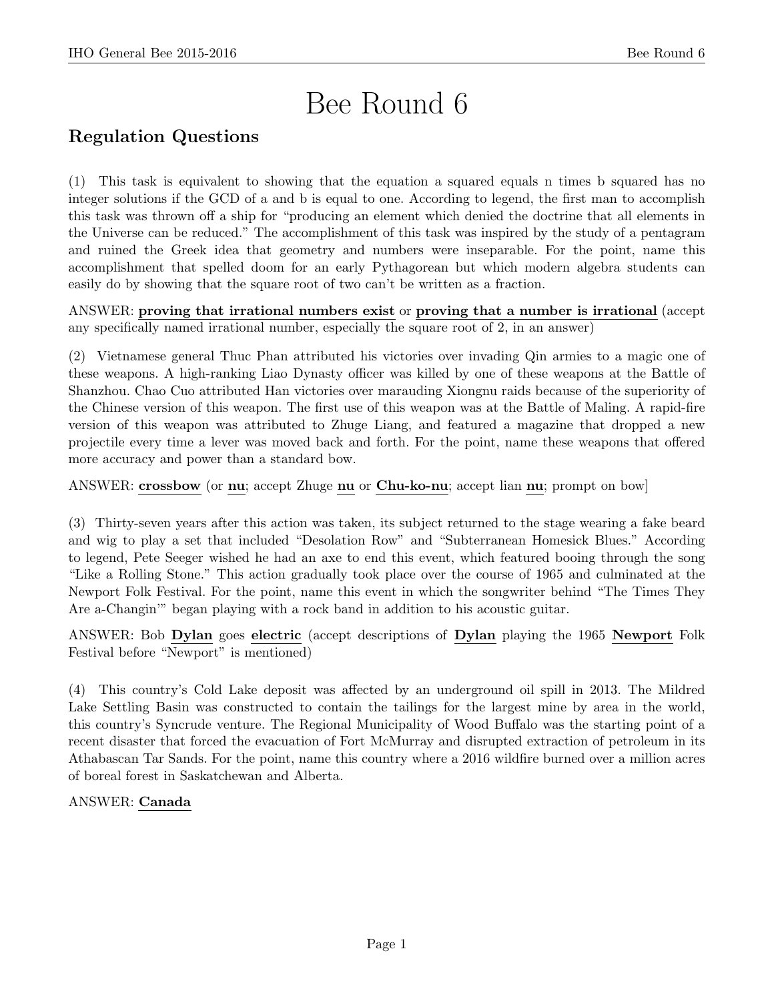# Bee Round 6

# Regulation Questions

(1) This task is equivalent to showing that the equation a squared equals n times b squared has no integer solutions if the GCD of a and b is equal to one. According to legend, the first man to accomplish this task was thrown off a ship for "producing an element which denied the doctrine that all elements in the Universe can be reduced." The accomplishment of this task was inspired by the study of a pentagram and ruined the Greek idea that geometry and numbers were inseparable. For the point, name this accomplishment that spelled doom for an early Pythagorean but which modern algebra students can easily do by showing that the square root of two can't be written as a fraction.

ANSWER: proving that irrational numbers exist or proving that a number is irrational (accept any specifically named irrational number, especially the square root of 2, in an answer)

(2) Vietnamese general Thuc Phan attributed his victories over invading Qin armies to a magic one of these weapons. A high-ranking Liao Dynasty officer was killed by one of these weapons at the Battle of Shanzhou. Chao Cuo attributed Han victories over marauding Xiongnu raids because of the superiority of the Chinese version of this weapon. The first use of this weapon was at the Battle of Maling. A rapid-fire version of this weapon was attributed to Zhuge Liang, and featured a magazine that dropped a new projectile every time a lever was moved back and forth. For the point, name these weapons that offered more accuracy and power than a standard bow.

ANSWER: crossbow (or nu; accept Zhuge nu or Chu-ko-nu; accept lian nu; prompt on bow]

(3) Thirty-seven years after this action was taken, its subject returned to the stage wearing a fake beard and wig to play a set that included "Desolation Row" and "Subterranean Homesick Blues." According to legend, Pete Seeger wished he had an axe to end this event, which featured booing through the song "Like a Rolling Stone." This action gradually took place over the course of 1965 and culminated at the Newport Folk Festival. For the point, name this event in which the songwriter behind "The Times They Are a-Changin'" began playing with a rock band in addition to his acoustic guitar.

ANSWER: Bob Dylan goes electric (accept descriptions of Dylan playing the 1965 Newport Folk Festival before "Newport" is mentioned)

(4) This country's Cold Lake deposit was affected by an underground oil spill in 2013. The Mildred Lake Settling Basin was constructed to contain the tailings for the largest mine by area in the world, this country's Syncrude venture. The Regional Municipality of Wood Buffalo was the starting point of a recent disaster that forced the evacuation of Fort McMurray and disrupted extraction of petroleum in its Athabascan Tar Sands. For the point, name this country where a 2016 wildfire burned over a million acres of boreal forest in Saskatchewan and Alberta.

# ANSWER: Canada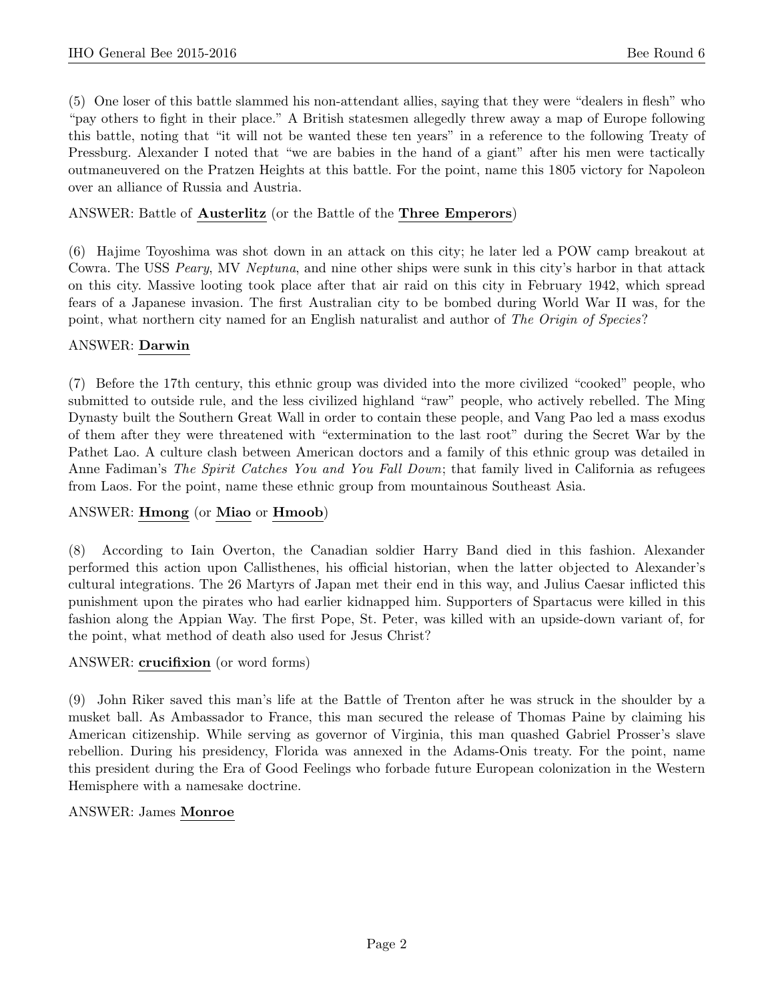(5) One loser of this battle slammed his non-attendant allies, saying that they were "dealers in flesh" who "pay others to fight in their place." A British statesmen allegedly threw away a map of Europe following this battle, noting that "it will not be wanted these ten years" in a reference to the following Treaty of Pressburg. Alexander I noted that "we are babies in the hand of a giant" after his men were tactically outmaneuvered on the Pratzen Heights at this battle. For the point, name this 1805 victory for Napoleon over an alliance of Russia and Austria.

# ANSWER: Battle of Austerlitz (or the Battle of the Three Emperors)

(6) Hajime Toyoshima was shot down in an attack on this city; he later led a POW camp breakout at Cowra. The USS Peary, MV Neptuna, and nine other ships were sunk in this city's harbor in that attack on this city. Massive looting took place after that air raid on this city in February 1942, which spread fears of a Japanese invasion. The first Australian city to be bombed during World War II was, for the point, what northern city named for an English naturalist and author of The Origin of Species?

# ANSWER: Darwin

(7) Before the 17th century, this ethnic group was divided into the more civilized "cooked" people, who submitted to outside rule, and the less civilized highland "raw" people, who actively rebelled. The Ming Dynasty built the Southern Great Wall in order to contain these people, and Vang Pao led a mass exodus of them after they were threatened with "extermination to the last root" during the Secret War by the Pathet Lao. A culture clash between American doctors and a family of this ethnic group was detailed in Anne Fadiman's The Spirit Catches You and You Fall Down; that family lived in California as refugees from Laos. For the point, name these ethnic group from mountainous Southeast Asia.

# ANSWER: Hmong (or Miao or Hmoob)

(8) According to Iain Overton, the Canadian soldier Harry Band died in this fashion. Alexander performed this action upon Callisthenes, his official historian, when the latter objected to Alexander's cultural integrations. The 26 Martyrs of Japan met their end in this way, and Julius Caesar inflicted this punishment upon the pirates who had earlier kidnapped him. Supporters of Spartacus were killed in this fashion along the Appian Way. The first Pope, St. Peter, was killed with an upside-down variant of, for the point, what method of death also used for Jesus Christ?

#### ANSWER: crucifixion (or word forms)

(9) John Riker saved this man's life at the Battle of Trenton after he was struck in the shoulder by a musket ball. As Ambassador to France, this man secured the release of Thomas Paine by claiming his American citizenship. While serving as governor of Virginia, this man quashed Gabriel Prosser's slave rebellion. During his presidency, Florida was annexed in the Adams-Onis treaty. For the point, name this president during the Era of Good Feelings who forbade future European colonization in the Western Hemisphere with a namesake doctrine.

#### ANSWER: James Monroe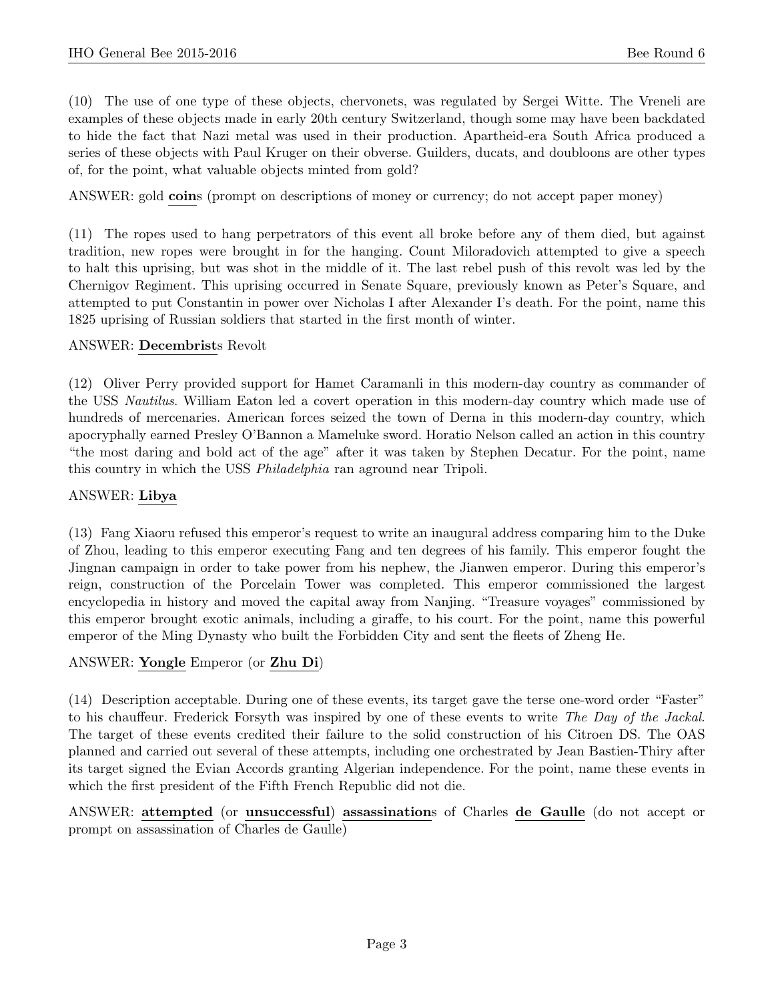(10) The use of one type of these objects, chervonets, was regulated by Sergei Witte. The Vreneli are examples of these objects made in early 20th century Switzerland, though some may have been backdated to hide the fact that Nazi metal was used in their production. Apartheid-era South Africa produced a series of these objects with Paul Kruger on their obverse. Guilders, ducats, and doubloons are other types of, for the point, what valuable objects minted from gold?

ANSWER: gold **coins** (prompt on descriptions of money or currency; do not accept paper money)

(11) The ropes used to hang perpetrators of this event all broke before any of them died, but against tradition, new ropes were brought in for the hanging. Count Miloradovich attempted to give a speech to halt this uprising, but was shot in the middle of it. The last rebel push of this revolt was led by the Chernigov Regiment. This uprising occurred in Senate Square, previously known as Peter's Square, and attempted to put Constantin in power over Nicholas I after Alexander I's death. For the point, name this 1825 uprising of Russian soldiers that started in the first month of winter.

#### ANSWER: Decembrists Revolt

(12) Oliver Perry provided support for Hamet Caramanli in this modern-day country as commander of the USS Nautilus. William Eaton led a covert operation in this modern-day country which made use of hundreds of mercenaries. American forces seized the town of Derna in this modern-day country, which apocryphally earned Presley O'Bannon a Mameluke sword. Horatio Nelson called an action in this country "the most daring and bold act of the age" after it was taken by Stephen Decatur. For the point, name this country in which the USS Philadelphia ran aground near Tripoli.

#### ANSWER: Libya

(13) Fang Xiaoru refused this emperor's request to write an inaugural address comparing him to the Duke of Zhou, leading to this emperor executing Fang and ten degrees of his family. This emperor fought the Jingnan campaign in order to take power from his nephew, the Jianwen emperor. During this emperor's reign, construction of the Porcelain Tower was completed. This emperor commissioned the largest encyclopedia in history and moved the capital away from Nanjing. "Treasure voyages" commissioned by this emperor brought exotic animals, including a giraffe, to his court. For the point, name this powerful emperor of the Ming Dynasty who built the Forbidden City and sent the fleets of Zheng He.

#### ANSWER: Yongle Emperor (or Zhu Di)

(14) Description acceptable. During one of these events, its target gave the terse one-word order "Faster" to his chauffeur. Frederick Forsyth was inspired by one of these events to write The Day of the Jackal. The target of these events credited their failure to the solid construction of his Citroen DS. The OAS planned and carried out several of these attempts, including one orchestrated by Jean Bastien-Thiry after its target signed the Evian Accords granting Algerian independence. For the point, name these events in which the first president of the Fifth French Republic did not die.

ANSWER: attempted (or unsuccessful) assassinations of Charles de Gaulle (do not accept or prompt on assassination of Charles de Gaulle)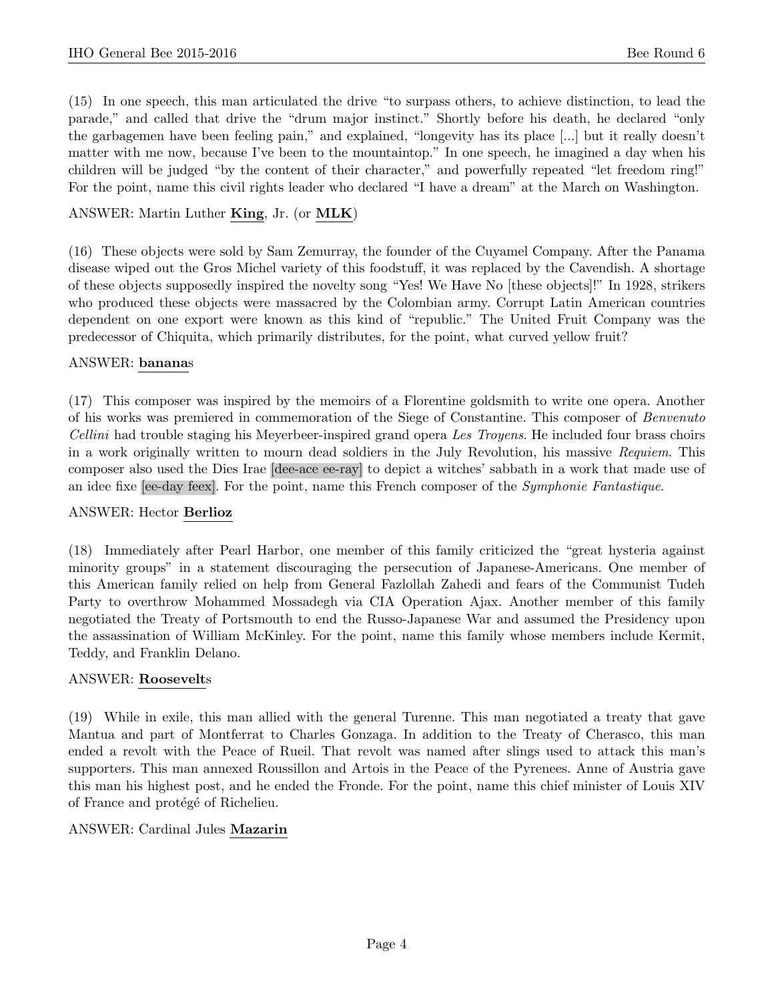(15) In one speech, this man articulated the drive "to surpass others, to achieve distinction, to lead the parade," and called that drive the "drum major instinct." Shortly before his death, he declared "only the garbagemen have been feeling pain," and explained, "longevity has its place [...] but it really doesn't matter with me now, because I've been to the mountaintop." In one speech, he imagined a day when his children will be judged "by the content of their character," and powerfully repeated "let freedom ring!" For the point, name this civil rights leader who declared "I have a dream" at the March on Washington.

# ANSWER: Martin Luther King, Jr. (or MLK)

(16) These objects were sold by Sam Zemurray, the founder of the Cuyamel Company. After the Panama disease wiped out the Gros Michel variety of this foodstuff, it was replaced by the Cavendish. A shortage of these objects supposedly inspired the novelty song "Yes! We Have No [these objects]!" In 1928, strikers who produced these objects were massacred by the Colombian army. Corrupt Latin American countries dependent on one export were known as this kind of "republic." The United Fruit Company was the predecessor of Chiquita, which primarily distributes, for the point, what curved yellow fruit?

#### ANSWER: bananas

(17) This composer was inspired by the memoirs of a Florentine goldsmith to write one opera. Another of his works was premiered in commemoration of the Siege of Constantine. This composer of Benvenuto Cellini had trouble staging his Meyerbeer-inspired grand opera Les Troyens. He included four brass choirs in a work originally written to mourn dead soldiers in the July Revolution, his massive Requiem. This composer also used the Dies Irae [dee-ace ee-ray] to depict a witches' sabbath in a work that made use of an idee fixe [ee-day feex]. For the point, name this French composer of the Symphonie Fantastique.

#### ANSWER: Hector Berlioz

(18) Immediately after Pearl Harbor, one member of this family criticized the "great hysteria against minority groups" in a statement discouraging the persecution of Japanese-Americans. One member of this American family relied on help from General Fazlollah Zahedi and fears of the Communist Tudeh Party to overthrow Mohammed Mossadegh via CIA Operation Ajax. Another member of this family negotiated the Treaty of Portsmouth to end the Russo-Japanese War and assumed the Presidency upon the assassination of William McKinley. For the point, name this family whose members include Kermit, Teddy, and Franklin Delano.

#### ANSWER: Roosevelts

(19) While in exile, this man allied with the general Turenne. This man negotiated a treaty that gave Mantua and part of Montferrat to Charles Gonzaga. In addition to the Treaty of Cherasco, this man ended a revolt with the Peace of Rueil. That revolt was named after slings used to attack this man's supporters. This man annexed Roussillon and Artois in the Peace of the Pyrenees. Anne of Austria gave this man his highest post, and he ended the Fronde. For the point, name this chief minister of Louis XIV of France and protégé of Richelieu.

#### ANSWER: Cardinal Jules Mazarin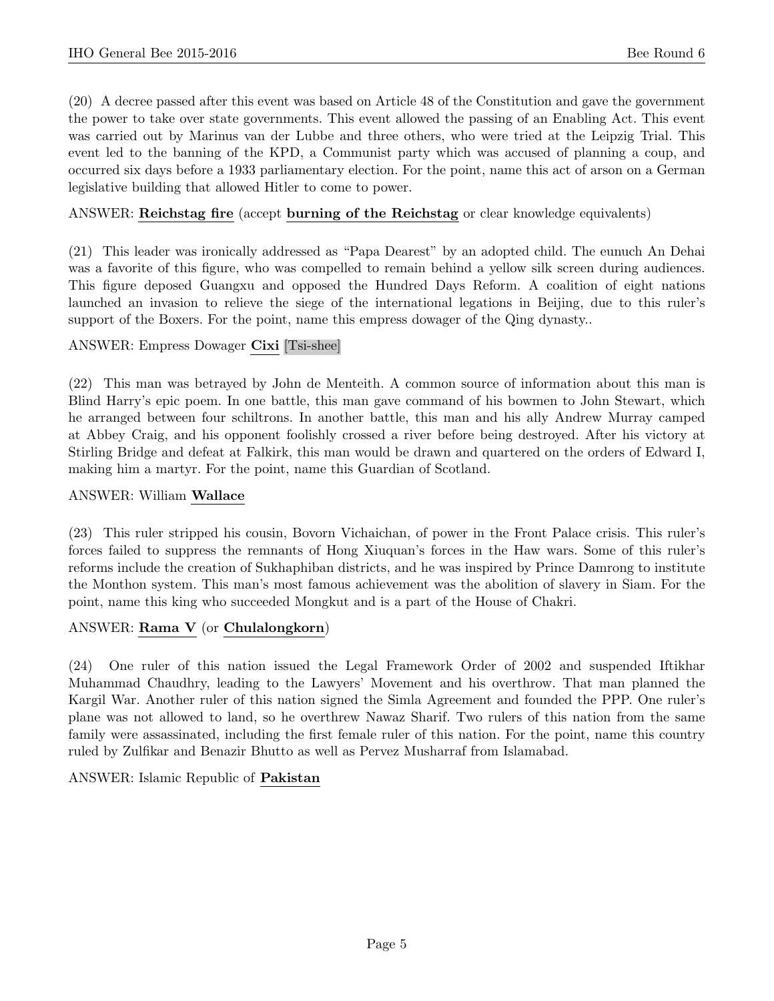(20) A decree passed after this event was based on Article 48 of the Constitution and gave the government the power to take over state governments. This event allowed the passing of an Enabling Act. This event was carried out by Marinus van der Lubbe and three others, who were tried at the Leipzig Trial. This event led to the banning of the KPD, a Communist party which was accused of planning a coup, and occurred six days before a 1933 parliamentary election. For the point, name this act of arson on a German legislative building that allowed Hitler to come to power.

### ANSWER: Reichstag fire (accept burning of the Reichstag or clear knowledge equivalents)

(21) This leader was ironically addressed as "Papa Dearest" by an adopted child. The eunuch An Dehai was a favorite of this figure, who was compelled to remain behind a yellow silk screen during audiences. This figure deposed Guangxu and opposed the Hundred Days Reform. A coalition of eight nations launched an invasion to relieve the siege of the international legations in Beijing, due to this ruler's support of the Boxers. For the point, name this empress dowager of the Qing dynasty..

#### ANSWER: Empress Dowager Cixi [Tsi-shee]

(22) This man was betrayed by John de Menteith. A common source of information about this man is Blind Harry's epic poem. In one battle, this man gave command of his bowmen to John Stewart, which he arranged between four schiltrons. In another battle, this man and his ally Andrew Murray camped at Abbey Craig, and his opponent foolishly crossed a river before being destroyed. After his victory at Stirling Bridge and defeat at Falkirk, this man would be drawn and quartered on the orders of Edward I, making him a martyr. For the point, name this Guardian of Scotland.

#### ANSWER: William Wallace

(23) This ruler stripped his cousin, Bovorn Vichaichan, of power in the Front Palace crisis. This ruler's forces failed to suppress the remnants of Hong Xiuquan's forces in the Haw wars. Some of this ruler's reforms include the creation of Sukhaphiban districts, and he was inspired by Prince Damrong to institute the Monthon system. This man's most famous achievement was the abolition of slavery in Siam. For the point, name this king who succeeded Mongkut and is a part of the House of Chakri.

# ANSWER: Rama V (or Chulalongkorn)

(24) One ruler of this nation issued the Legal Framework Order of 2002 and suspended Iftikhar Muhammad Chaudhry, leading to the Lawyers' Movement and his overthrow. That man planned the Kargil War. Another ruler of this nation signed the Simla Agreement and founded the PPP. One ruler's plane was not allowed to land, so he overthrew Nawaz Sharif. Two rulers of this nation from the same family were assassinated, including the first female ruler of this nation. For the point, name this country ruled by Zulfikar and Benazir Bhutto as well as Pervez Musharraf from Islamabad.

ANSWER: Islamic Republic of Pakistan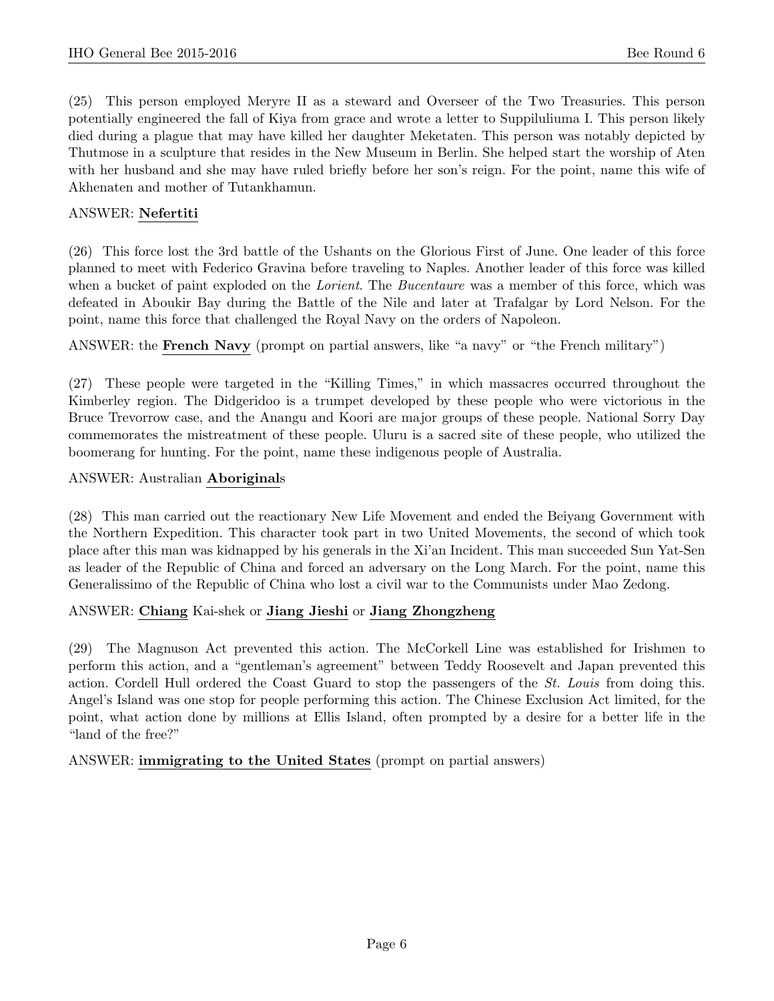(25) This person employed Meryre II as a steward and Overseer of the Two Treasuries. This person potentially engineered the fall of Kiya from grace and wrote a letter to Suppiluliuma I. This person likely died during a plague that may have killed her daughter Meketaten. This person was notably depicted by Thutmose in a sculpture that resides in the New Museum in Berlin. She helped start the worship of Aten with her husband and she may have ruled briefly before her son's reign. For the point, name this wife of Akhenaten and mother of Tutankhamun.

# ANSWER: Nefertiti

(26) This force lost the 3rd battle of the Ushants on the Glorious First of June. One leader of this force planned to meet with Federico Gravina before traveling to Naples. Another leader of this force was killed when a bucket of paint exploded on the *Lorient*. The *Bucentaure* was a member of this force, which was defeated in Aboukir Bay during the Battle of the Nile and later at Trafalgar by Lord Nelson. For the point, name this force that challenged the Royal Navy on the orders of Napoleon.

ANSWER: the French Navy (prompt on partial answers, like "a navy" or "the French military")

(27) These people were targeted in the "Killing Times," in which massacres occurred throughout the Kimberley region. The Didgeridoo is a trumpet developed by these people who were victorious in the Bruce Trevorrow case, and the Anangu and Koori are major groups of these people. National Sorry Day commemorates the mistreatment of these people. Uluru is a sacred site of these people, who utilized the boomerang for hunting. For the point, name these indigenous people of Australia.

# ANSWER: Australian Aboriginals

(28) This man carried out the reactionary New Life Movement and ended the Beiyang Government with the Northern Expedition. This character took part in two United Movements, the second of which took place after this man was kidnapped by his generals in the Xi'an Incident. This man succeeded Sun Yat-Sen as leader of the Republic of China and forced an adversary on the Long March. For the point, name this Generalissimo of the Republic of China who lost a civil war to the Communists under Mao Zedong.

# ANSWER: Chiang Kai-shek or Jiang Jieshi or Jiang Zhongzheng

(29) The Magnuson Act prevented this action. The McCorkell Line was established for Irishmen to perform this action, and a "gentleman's agreement" between Teddy Roosevelt and Japan prevented this action. Cordell Hull ordered the Coast Guard to stop the passengers of the St. Louis from doing this. Angel's Island was one stop for people performing this action. The Chinese Exclusion Act limited, for the point, what action done by millions at Ellis Island, often prompted by a desire for a better life in the "land of the free?"

ANSWER: immigrating to the United States (prompt on partial answers)